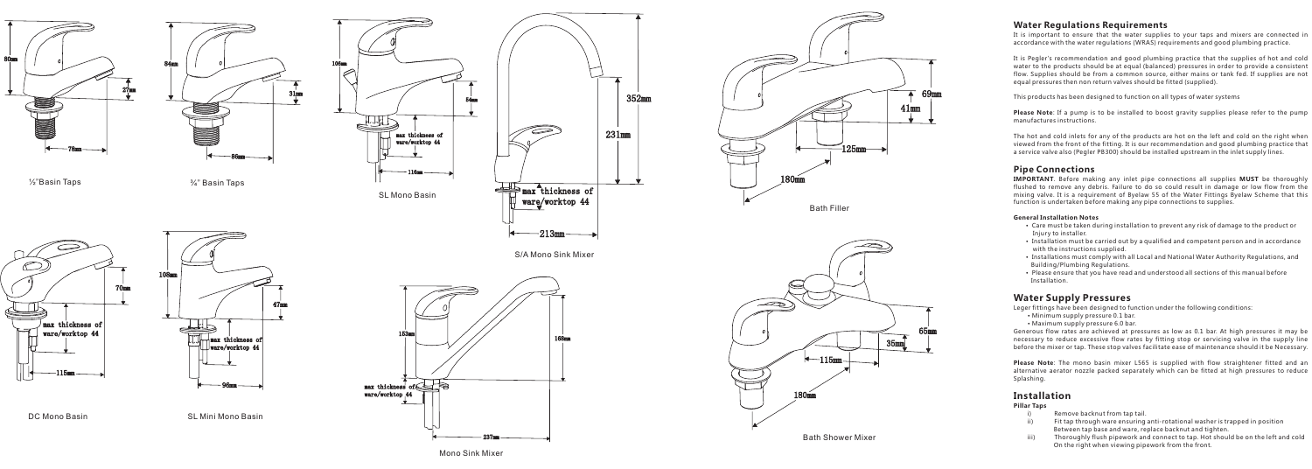# **Water Regulations Requirements**

It is important to ensure that the water supplies to your taps and mixers are connected in accordance with the water regulations (WRAS) requirements and good plumbing practice.

**Please Note**: If a pump is to be installed to boost gravity supplies please refer to the pump manufactures instructions.

It is Pegler's recommendation and good plumbing practice that the supplies of hot and cold water to the products should be at equal (balanced) pressures in order to provide a consistent flow. Supplies should be from a common source, either mains or tank fed. If supplies are not equal pressures then non return valves should be fitted (supplied).

This products has been designed to function on all types of water systems

**IMPORTANT**. Before making any inlet pipe connections all supplies **MUST** be thoroughly flushed to remove any debris. Failure to do so could result in damage or low flow from the mixing valve. It is a requirement of Byelaw 55 of the Water Fittings Byelaw Scheme that this function is undertaken before making any pipe connections to supplies.

The hot and cold inlets for any of the products are hot on the left and cold on the right when viewed from the front of the fitting. It is our recommendation and good plumbing practice that a service valve also (Pegler PB300) should be installed upstream in the inlet supply lines.

# **Pipe Connections**

### **General Installation Notes**

### **Pillar Taps**

- i) Remove backnut from tap tail.<br>ii) Fit tap through ware ensuring.
- Fit tap through ware ensuring anti-rotational washer is trapped in position Between tap base and ware, replace backnut and tighten.
- iii) Thoroughly flush pipework and connect to tap. Hot should be on the left and cold On the right when viewing pipework from the front.
- Care must be taken during installation to prevent any risk of damage to the product or Injury to installer.
- Installation must be carried out by a qualified and competent person and in accordance with the instructions supplied.
- Installations must comply with all Local and National Water Authority Regulations, and Building/Plumbing Regulations.
- Please ensure that you have read and understood all sections of this manual before Installation.

**Please Note** : The mono basin mixer L565 is supplied with flow straightener fitted and an alternative aerator nozzle packed separately which can be fitted at high pressures to reduce Splashing.

Leger fittings have been designed to function under the following conditions:

- Minimum supply pressure 0.1 bar.
- Maximum supply pressure 6.0 bar.

Generous flow rates are achieved at pressures as low as 0.1 bar. At high pressures it may be necessary to reduce excessive flow rates by fitting stop or servicing valve in the supply line before the mixer or tap. These stop valves facilitate ease of maintenance should it be Necessary.

# **Water Supply Pressures**

# **Installation**







 $\frac{1}{2}$ "Basin Taps  $\frac{3}{4}$ " Basin Taps





Bath Shower Mixer 180mm  $-115$ mm 35mm 65mm

237mm

168mm 153mm



S/A Mono Sink Mixer



max thickness of<br>ware/worktop 44